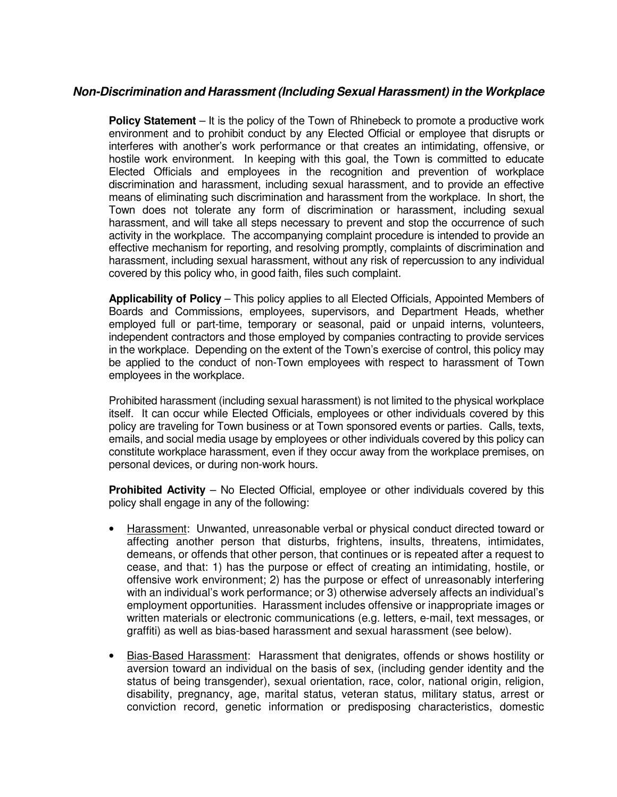### **Non-Discrimination and Harassment (Including Sexual Harassment) in the Workplace**

**Policy Statement** – It is the policy of the Town of Rhinebeck to promote a productive work environment and to prohibit conduct by any Elected Official or employee that disrupts or interferes with another's work performance or that creates an intimidating, offensive, or hostile work environment. In keeping with this goal, the Town is committed to educate Elected Officials and employees in the recognition and prevention of workplace discrimination and harassment, including sexual harassment, and to provide an effective means of eliminating such discrimination and harassment from the workplace. In short, the Town does not tolerate any form of discrimination or harassment, including sexual harassment, and will take all steps necessary to prevent and stop the occurrence of such activity in the workplace. The accompanying complaint procedure is intended to provide an effective mechanism for reporting, and resolving promptly, complaints of discrimination and harassment, including sexual harassment, without any risk of repercussion to any individual covered by this policy who, in good faith, files such complaint.

**Applicability of Policy** – This policy applies to all Elected Officials, Appointed Members of Boards and Commissions, employees, supervisors, and Department Heads, whether employed full or part-time, temporary or seasonal, paid or unpaid interns, volunteers, independent contractors and those employed by companies contracting to provide services in the workplace. Depending on the extent of the Town's exercise of control, this policy may be applied to the conduct of non-Town employees with respect to harassment of Town employees in the workplace.

Prohibited harassment (including sexual harassment) is not limited to the physical workplace itself. It can occur while Elected Officials, employees or other individuals covered by this policy are traveling for Town business or at Town sponsored events or parties. Calls, texts, emails, and social media usage by employees or other individuals covered by this policy can constitute workplace harassment, even if they occur away from the workplace premises, on personal devices, or during non-work hours.

**Prohibited Activity** – No Elected Official, employee or other individuals covered by this policy shall engage in any of the following:

- Harassment: Unwanted, unreasonable verbal or physical conduct directed toward or affecting another person that disturbs, frightens, insults, threatens, intimidates, demeans, or offends that other person, that continues or is repeated after a request to cease, and that: 1) has the purpose or effect of creating an intimidating, hostile, or offensive work environment; 2) has the purpose or effect of unreasonably interfering with an individual's work performance; or 3) otherwise adversely affects an individual's employment opportunities. Harassment includes offensive or inappropriate images or written materials or electronic communications (e.g. letters, e-mail, text messages, or graffiti) as well as bias-based harassment and sexual harassment (see below).
- Bias-Based Harassment: Harassment that denigrates, offends or shows hostility or aversion toward an individual on the basis of sex, (including gender identity and the status of being transgender), sexual orientation, race, color, national origin, religion, disability, pregnancy, age, marital status, veteran status, military status, arrest or conviction record, genetic information or predisposing characteristics, domestic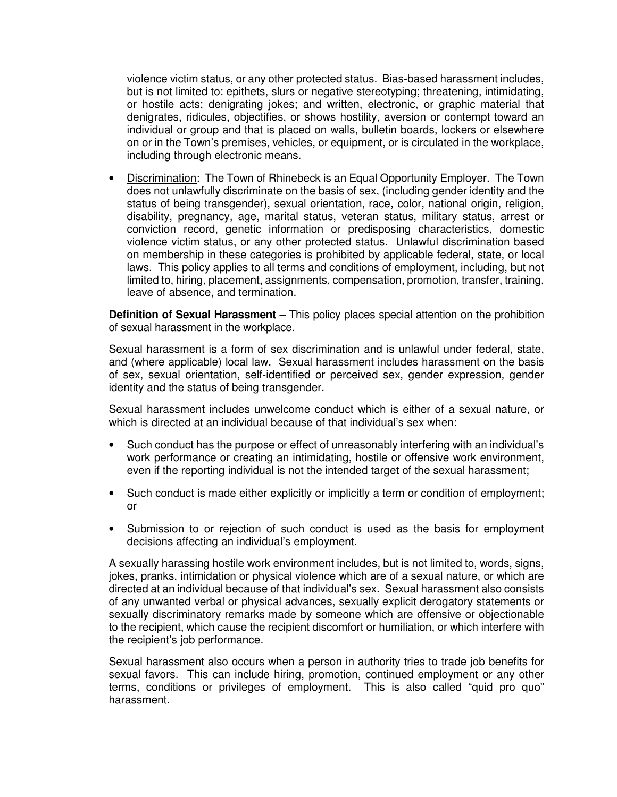violence victim status, or any other protected status. Bias-based harassment includes, but is not limited to: epithets, slurs or negative stereotyping; threatening, intimidating, or hostile acts; denigrating jokes; and written, electronic, or graphic material that denigrates, ridicules, objectifies, or shows hostility, aversion or contempt toward an individual or group and that is placed on walls, bulletin boards, lockers or elsewhere on or in the Town's premises, vehicles, or equipment, or is circulated in the workplace, including through electronic means.

• Discrimination: The Town of Rhinebeck is an Equal Opportunity Employer. The Town does not unlawfully discriminate on the basis of sex, (including gender identity and the status of being transgender), sexual orientation, race, color, national origin, religion, disability, pregnancy, age, marital status, veteran status, military status, arrest or conviction record, genetic information or predisposing characteristics, domestic violence victim status, or any other protected status. Unlawful discrimination based on membership in these categories is prohibited by applicable federal, state, or local laws. This policy applies to all terms and conditions of employment, including, but not limited to, hiring, placement, assignments, compensation, promotion, transfer, training, leave of absence, and termination.

**Definition of Sexual Harassment** – This policy places special attention on the prohibition of sexual harassment in the workplace.

Sexual harassment is a form of sex discrimination and is unlawful under federal, state, and (where applicable) local law. Sexual harassment includes harassment on the basis of sex, sexual orientation, self-identified or perceived sex, gender expression, gender identity and the status of being transgender.

Sexual harassment includes unwelcome conduct which is either of a sexual nature, or which is directed at an individual because of that individual's sex when:

- Such conduct has the purpose or effect of unreasonably interfering with an individual's work performance or creating an intimidating, hostile or offensive work environment, even if the reporting individual is not the intended target of the sexual harassment;
- Such conduct is made either explicitly or implicitly a term or condition of employment; or
- Submission to or rejection of such conduct is used as the basis for employment decisions affecting an individual's employment.

A sexually harassing hostile work environment includes, but is not limited to, words, signs, jokes, pranks, intimidation or physical violence which are of a sexual nature, or which are directed at an individual because of that individual's sex. Sexual harassment also consists of any unwanted verbal or physical advances, sexually explicit derogatory statements or sexually discriminatory remarks made by someone which are offensive or objectionable to the recipient, which cause the recipient discomfort or humiliation, or which interfere with the recipient's job performance.

Sexual harassment also occurs when a person in authority tries to trade job benefits for sexual favors. This can include hiring, promotion, continued employment or any other terms, conditions or privileges of employment. This is also called "quid pro quo" harassment.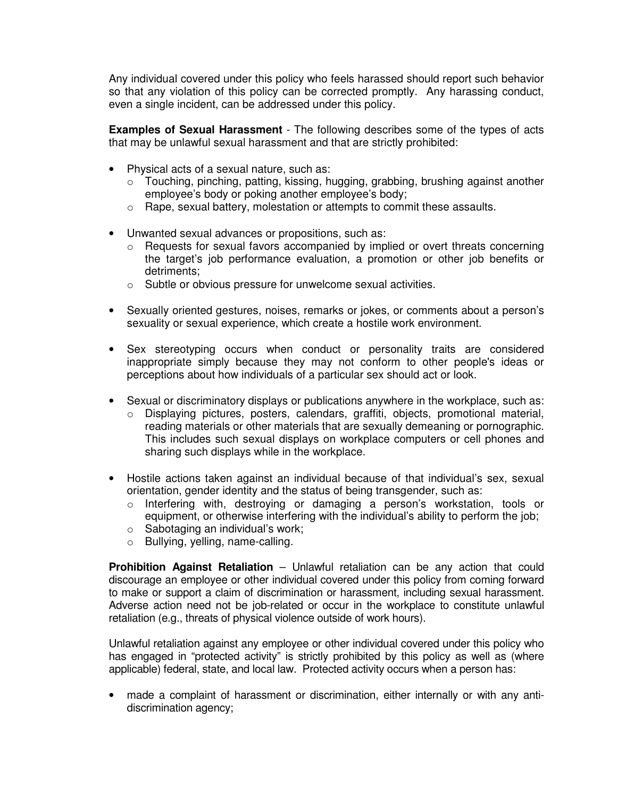Any individual covered under this policy who feels harassed should report such behavior so that any violation of this policy can be corrected promptly. Any harassing conduct, even a single incident, can be addressed under this policy.

**Examples of Sexual Harassment** - The following describes some of the types of acts that may be unlawful sexual harassment and that are strictly prohibited:

- Physical acts of a sexual nature, such as:
	- o Touching, pinching, patting, kissing, hugging, grabbing, brushing against another employee's body or poking another employee's body;
	- o Rape, sexual battery, molestation or attempts to commit these assaults.
- Unwanted sexual advances or propositions, such as:
	- o Requests for sexual favors accompanied by implied or overt threats concerning the target's job performance evaluation, a promotion or other job benefits or detriments;
	- o Subtle or obvious pressure for unwelcome sexual activities.
- Sexually oriented gestures, noises, remarks or jokes, or comments about a person's sexuality or sexual experience, which create a hostile work environment.
- Sex stereotyping occurs when conduct or personality traits are considered inappropriate simply because they may not conform to other people's ideas or perceptions about how individuals of a particular sex should act or look.
- Sexual or discriminatory displays or publications anywhere in the workplace, such as:  $\circ$  Displaying pictures, posters, calendars, graffiti, objects, promotional material, reading materials or other materials that are sexually demeaning or pornographic. This includes such sexual displays on workplace computers or cell phones and sharing such displays while in the workplace.
- Hostile actions taken against an individual because of that individual's sex, sexual orientation, gender identity and the status of being transgender, such as:
	- o Interfering with, destroying or damaging a person's workstation, tools or equipment, or otherwise interfering with the individual's ability to perform the job;
	- o Sabotaging an individual's work;
	- o Bullying, yelling, name-calling.

**Prohibition Against Retaliation** – Unlawful retaliation can be any action that could discourage an employee or other individual covered under this policy from coming forward to make or support a claim of discrimination or harassment, including sexual harassment. Adverse action need not be job-related or occur in the workplace to constitute unlawful retaliation (e.g., threats of physical violence outside of work hours).

Unlawful retaliation against any employee or other individual covered under this policy who has engaged in "protected activity" is strictly prohibited by this policy as well as (where applicable) federal, state, and local law. Protected activity occurs when a person has:

• made a complaint of harassment or discrimination, either internally or with any antidiscrimination agency;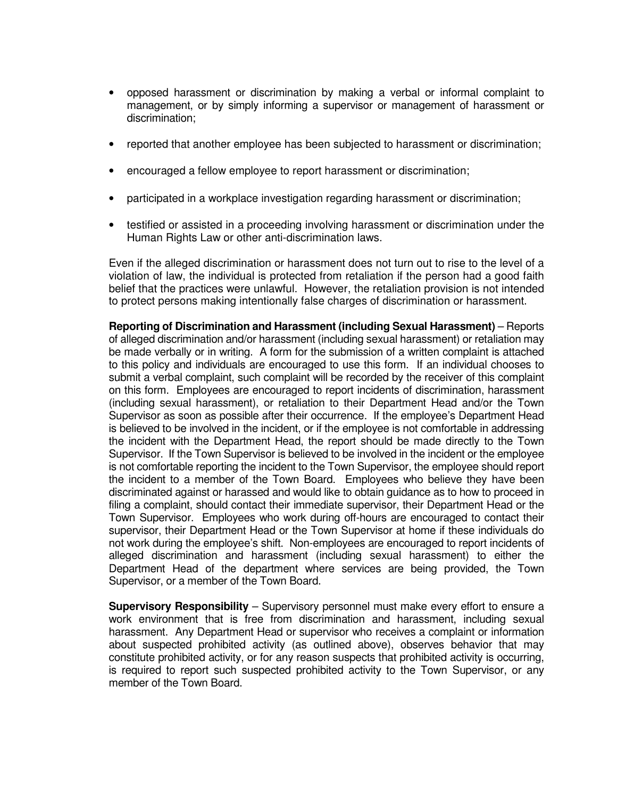- opposed harassment or discrimination by making a verbal or informal complaint to management, or by simply informing a supervisor or management of harassment or discrimination;
- reported that another employee has been subjected to harassment or discrimination;
- encouraged a fellow employee to report harassment or discrimination;
- participated in a workplace investigation regarding harassment or discrimination;
- testified or assisted in a proceeding involving harassment or discrimination under the Human Rights Law or other anti-discrimination laws.

Even if the alleged discrimination or harassment does not turn out to rise to the level of a violation of law, the individual is protected from retaliation if the person had a good faith belief that the practices were unlawful. However, the retaliation provision is not intended to protect persons making intentionally false charges of discrimination or harassment.

**Reporting of Discrimination and Harassment (including Sexual Harassment)** – Reports of alleged discrimination and/or harassment (including sexual harassment) or retaliation may be made verbally or in writing. A form for the submission of a written complaint is attached to this policy and individuals are encouraged to use this form. If an individual chooses to submit a verbal complaint, such complaint will be recorded by the receiver of this complaint on this form. Employees are encouraged to report incidents of discrimination, harassment (including sexual harassment), or retaliation to their Department Head and/or the Town Supervisor as soon as possible after their occurrence. If the employee's Department Head is believed to be involved in the incident, or if the employee is not comfortable in addressing the incident with the Department Head, the report should be made directly to the Town Supervisor. If the Town Supervisor is believed to be involved in the incident or the employee is not comfortable reporting the incident to the Town Supervisor, the employee should report the incident to a member of the Town Board. Employees who believe they have been discriminated against or harassed and would like to obtain guidance as to how to proceed in filing a complaint, should contact their immediate supervisor, their Department Head or the Town Supervisor. Employees who work during off-hours are encouraged to contact their supervisor, their Department Head or the Town Supervisor at home if these individuals do not work during the employee's shift. Non-employees are encouraged to report incidents of alleged discrimination and harassment (including sexual harassment) to either the Department Head of the department where services are being provided, the Town Supervisor, or a member of the Town Board.

**Supervisory Responsibility** – Supervisory personnel must make every effort to ensure a work environment that is free from discrimination and harassment, including sexual harassment. Any Department Head or supervisor who receives a complaint or information about suspected prohibited activity (as outlined above), observes behavior that may constitute prohibited activity, or for any reason suspects that prohibited activity is occurring, is required to report such suspected prohibited activity to the Town Supervisor, or any member of the Town Board.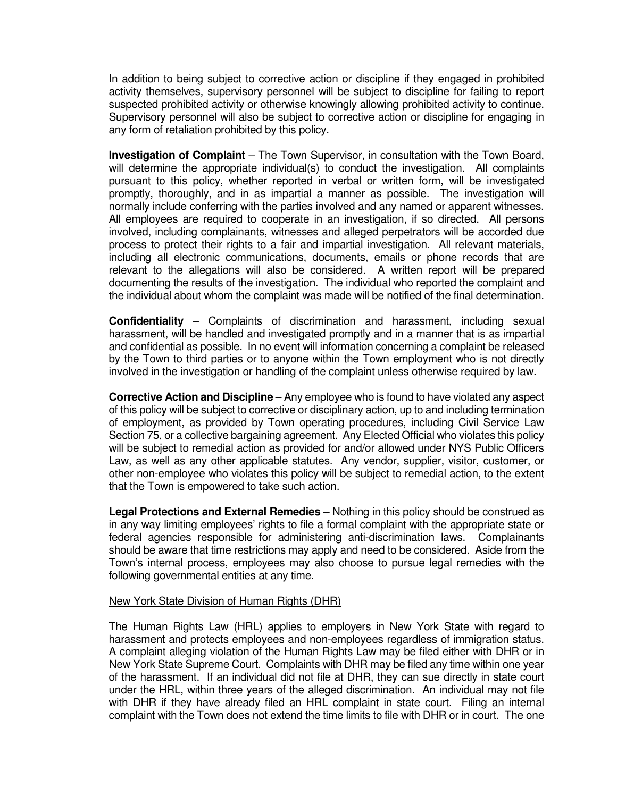In addition to being subject to corrective action or discipline if they engaged in prohibited activity themselves, supervisory personnel will be subject to discipline for failing to report suspected prohibited activity or otherwise knowingly allowing prohibited activity to continue. Supervisory personnel will also be subject to corrective action or discipline for engaging in any form of retaliation prohibited by this policy.

**Investigation of Complaint** – The Town Supervisor, in consultation with the Town Board, will determine the appropriate individual(s) to conduct the investigation. All complaints pursuant to this policy, whether reported in verbal or written form, will be investigated promptly, thoroughly, and in as impartial a manner as possible. The investigation will normally include conferring with the parties involved and any named or apparent witnesses. All employees are required to cooperate in an investigation, if so directed. All persons involved, including complainants, witnesses and alleged perpetrators will be accorded due process to protect their rights to a fair and impartial investigation. All relevant materials, including all electronic communications, documents, emails or phone records that are relevant to the allegations will also be considered. A written report will be prepared documenting the results of the investigation. The individual who reported the complaint and the individual about whom the complaint was made will be notified of the final determination.

**Confidentiality** – Complaints of discrimination and harassment, including sexual harassment, will be handled and investigated promptly and in a manner that is as impartial and confidential as possible. In no event will information concerning a complaint be released by the Town to third parties or to anyone within the Town employment who is not directly involved in the investigation or handling of the complaint unless otherwise required by law.

**Corrective Action and Discipline** – Any employee who is found to have violated any aspect of this policy will be subject to corrective or disciplinary action, up to and including termination of employment, as provided by Town operating procedures, including Civil Service Law Section 75, or a collective bargaining agreement. Any Elected Official who violates this policy will be subject to remedial action as provided for and/or allowed under NYS Public Officers Law, as well as any other applicable statutes. Any vendor, supplier, visitor, customer, or other non-employee who violates this policy will be subject to remedial action, to the extent that the Town is empowered to take such action.

**Legal Protections and External Remedies** – Nothing in this policy should be construed as in any way limiting employees' rights to file a formal complaint with the appropriate state or federal agencies responsible for administering anti-discrimination laws. Complainants should be aware that time restrictions may apply and need to be considered. Aside from the Town's internal process, employees may also choose to pursue legal remedies with the following governmental entities at any time.

#### New York State Division of Human Rights (DHR)

The Human Rights Law (HRL) applies to employers in New York State with regard to harassment and protects employees and non-employees regardless of immigration status. A complaint alleging violation of the Human Rights Law may be filed either with DHR or in New York State Supreme Court. Complaints with DHR may be filed any time within one year of the harassment. If an individual did not file at DHR, they can sue directly in state court under the HRL, within three years of the alleged discrimination. An individual may not file with DHR if they have already filed an HRL complaint in state court. Filing an internal complaint with the Town does not extend the time limits to file with DHR or in court. The one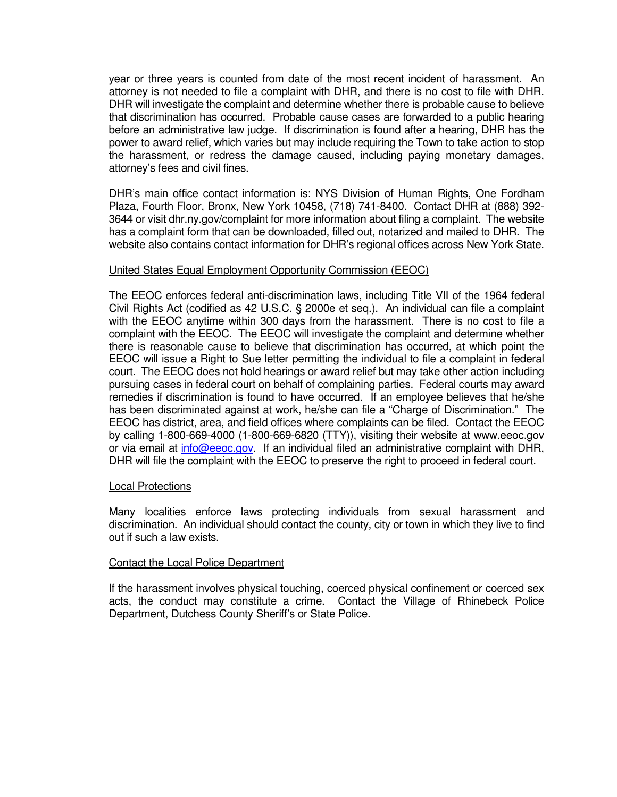year or three years is counted from date of the most recent incident of harassment. An attorney is not needed to file a complaint with DHR, and there is no cost to file with DHR. DHR will investigate the complaint and determine whether there is probable cause to believe that discrimination has occurred. Probable cause cases are forwarded to a public hearing before an administrative law judge. If discrimination is found after a hearing, DHR has the power to award relief, which varies but may include requiring the Town to take action to stop the harassment, or redress the damage caused, including paying monetary damages, attorney's fees and civil fines.

DHR's main office contact information is: NYS Division of Human Rights, One Fordham Plaza, Fourth Floor, Bronx, New York 10458, (718) 741-8400. Contact DHR at (888) 392- 3644 or visit dhr.ny.gov/complaint for more information about filing a complaint. The website has a complaint form that can be downloaded, filled out, notarized and mailed to DHR. The website also contains contact information for DHR's regional offices across New York State.

#### United States Equal Employment Opportunity Commission (EEOC)

The EEOC enforces federal anti-discrimination laws, including Title VII of the 1964 federal Civil Rights Act (codified as 42 U.S.C. § 2000e et seq.). An individual can file a complaint with the EEOC anytime within 300 days from the harassment. There is no cost to file a complaint with the EEOC. The EEOC will investigate the complaint and determine whether there is reasonable cause to believe that discrimination has occurred, at which point the EEOC will issue a Right to Sue letter permitting the individual to file a complaint in federal court. The EEOC does not hold hearings or award relief but may take other action including pursuing cases in federal court on behalf of complaining parties. Federal courts may award remedies if discrimination is found to have occurred. If an employee believes that he/she has been discriminated against at work, he/she can file a "Charge of Discrimination." The EEOC has district, area, and field offices where complaints can be filed. Contact the EEOC by calling 1-800-669-4000 (1-800-669-6820 (TTY)), visiting their website at www.eeoc.gov or via email at info@eeoc.gov. If an individual filed an administrative complaint with DHR, DHR will file the complaint with the EEOC to preserve the right to proceed in federal court.

#### Local Protections

Many localities enforce laws protecting individuals from sexual harassment and discrimination. An individual should contact the county, city or town in which they live to find out if such a law exists.

#### Contact the Local Police Department

If the harassment involves physical touching, coerced physical confinement or coerced sex acts, the conduct may constitute a crime. Contact the Village of Rhinebeck Police Department, Dutchess County Sheriff's or State Police.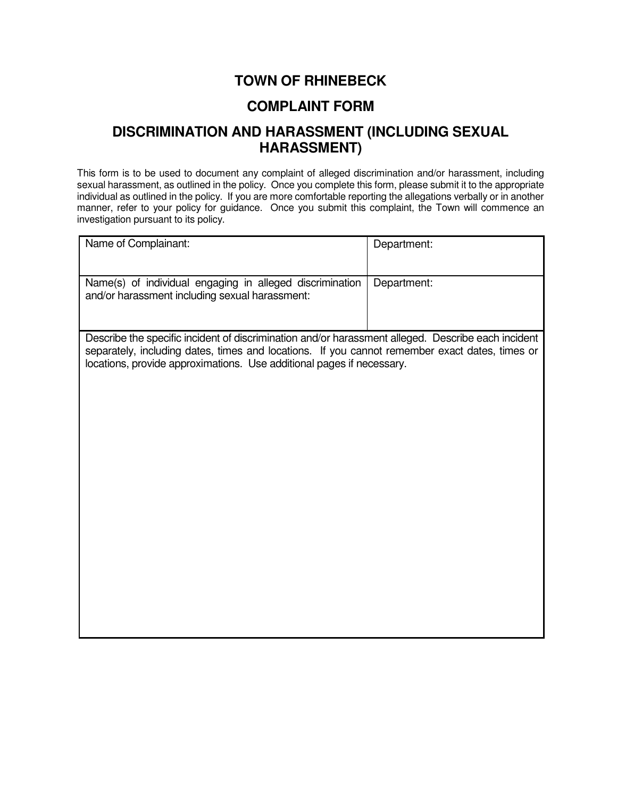# **TOWN OF RHINEBECK**

## **COMPLAINT FORM**

## **DISCRIMINATION AND HARASSMENT (INCLUDING SEXUAL HARASSMENT)**

This form is to be used to document any complaint of alleged discrimination and/or harassment, including sexual harassment, as outlined in the policy. Once you complete this form, please submit it to the appropriate individual as outlined in the policy. If you are more comfortable reporting the allegations verbally or in another manner, refer to your policy for guidance. Once you submit this complaint, the Town will commence an investigation pursuant to its policy.

| Name of Complainant:                                                                                                                                                                                 | Department: |
|------------------------------------------------------------------------------------------------------------------------------------------------------------------------------------------------------|-------------|
|                                                                                                                                                                                                      |             |
| Name(s) of individual engaging in alleged discrimination<br>and/or harassment including sexual harassment:                                                                                           | Department: |
|                                                                                                                                                                                                      |             |
|                                                                                                                                                                                                      |             |
| Describe the specific incident of discrimination and/or harassment alleged. Describe each incident<br>separately, including dates, times and locations. If you cannot remember exact dates, times or |             |
| locations, provide approximations. Use additional pages if necessary.                                                                                                                                |             |
|                                                                                                                                                                                                      |             |
|                                                                                                                                                                                                      |             |
|                                                                                                                                                                                                      |             |
|                                                                                                                                                                                                      |             |
|                                                                                                                                                                                                      |             |
|                                                                                                                                                                                                      |             |
|                                                                                                                                                                                                      |             |
|                                                                                                                                                                                                      |             |
|                                                                                                                                                                                                      |             |
|                                                                                                                                                                                                      |             |
|                                                                                                                                                                                                      |             |
|                                                                                                                                                                                                      |             |
|                                                                                                                                                                                                      |             |